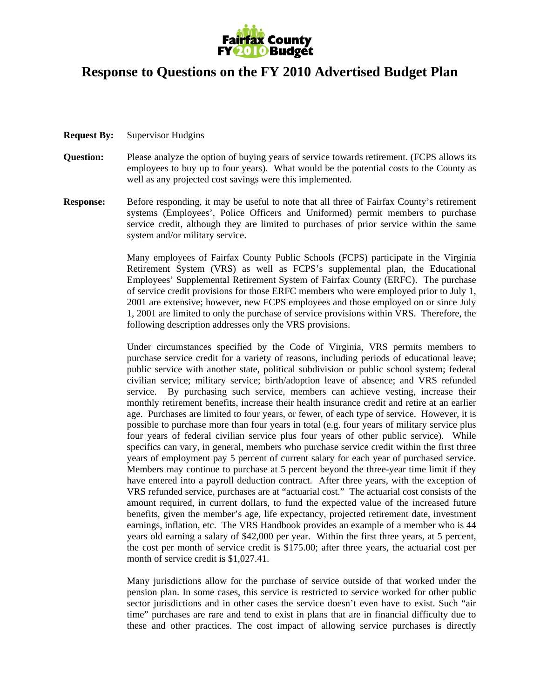

## **Response to Questions on the FY 2010 Advertised Budget Plan**

- **Request By:** Supervisor Hudgins
- **Question:** Please analyze the option of buying years of service towards retirement. (FCPS allows its employees to buy up to four years). What would be the potential costs to the County as well as any projected cost savings were this implemented.
- **Response:** Before responding, it may be useful to note that all three of Fairfax County's retirement systems (Employees', Police Officers and Uniformed) permit members to purchase service credit, although they are limited to purchases of prior service within the same system and/or military service.

 Many employees of Fairfax County Public Schools (FCPS) participate in the Virginia Retirement System (VRS) as well as FCPS's supplemental plan, the Educational Employees' Supplemental Retirement System of Fairfax County (ERFC). The purchase of service credit provisions for those ERFC members who were employed prior to July 1, 2001 are extensive; however, new FCPS employees and those employed on or since July 1, 2001 are limited to only the purchase of service provisions within VRS. Therefore, the following description addresses only the VRS provisions.

 Under circumstances specified by the Code of Virginia, VRS permits members to purchase service credit for a variety of reasons, including periods of educational leave; public service with another state, political subdivision or public school system; federal civilian service; military service; birth/adoption leave of absence; and VRS refunded service. By purchasing such service, members can achieve vesting, increase their monthly retirement benefits, increase their health insurance credit and retire at an earlier age. Purchases are limited to four years, or fewer, of each type of service. However, it is possible to purchase more than four years in total (e.g. four years of military service plus four years of federal civilian service plus four years of other public service). While specifics can vary, in general, members who purchase service credit within the first three years of employment pay 5 percent of current salary for each year of purchased service. Members may continue to purchase at 5 percent beyond the three-year time limit if they have entered into a payroll deduction contract. After three years, with the exception of VRS refunded service, purchases are at "actuarial cost." The actuarial cost consists of the amount required, in current dollars, to fund the expected value of the increased future benefits, given the member's age, life expectancy, projected retirement date, investment earnings, inflation, etc. The VRS Handbook provides an example of a member who is 44 years old earning a salary of \$42,000 per year. Within the first three years, at 5 percent, the cost per month of service credit is \$175.00; after three years, the actuarial cost per month of service credit is \$1,027.41.

Many jurisdictions allow for the purchase of service outside of that worked under the pension plan. In some cases, this service is restricted to service worked for other public sector jurisdictions and in other cases the service doesn't even have to exist. Such "air time" purchases are rare and tend to exist in plans that are in financial difficulty due to these and other practices. The cost impact of allowing service purchases is directly